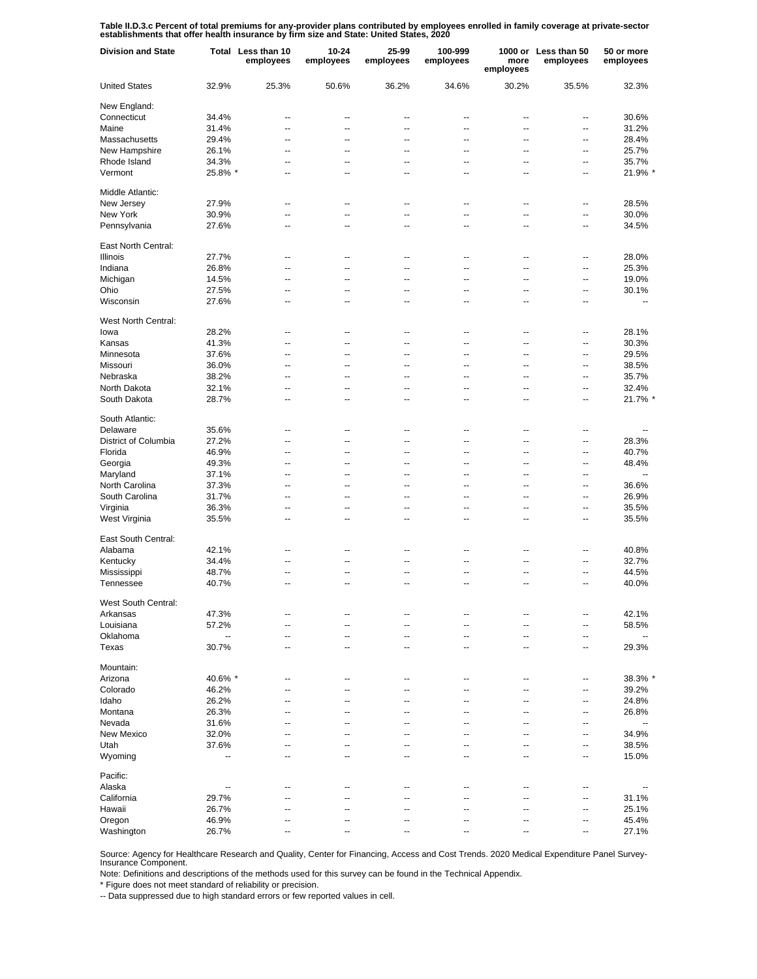Table II.D.3.c Percent of total premiums for any-provider plans contributed by employees enrolled in family coverage at private-sector<br>establishments that offer health insurance by firm size and State: United States, 2020

| <b>Division and State</b> |         | Total Less than 10<br>employees | 10-24<br>employees | 25-99<br>employees | 100-999<br>employees     | more<br>employees | 1000 or Less than 50<br>employees | 50 or more<br>employees  |
|---------------------------|---------|---------------------------------|--------------------|--------------------|--------------------------|-------------------|-----------------------------------|--------------------------|
| <b>United States</b>      | 32.9%   | 25.3%                           | 50.6%              | 36.2%              | 34.6%                    | 30.2%             | 35.5%                             | 32.3%                    |
| New England:              |         |                                 |                    |                    |                          |                   |                                   |                          |
| Connecticut               | 34.4%   | --                              | --                 | ٠.                 | --                       | --                | --                                | 30.6%                    |
| Maine                     | 31.4%   | $\overline{a}$                  | --                 | $\overline{a}$     | $\overline{a}$           | $\overline{a}$    | --                                | 31.2%                    |
| Massachusetts             | 29.4%   | $\overline{a}$                  | --                 | $\overline{a}$     | $\overline{a}$           | $\overline{a}$    | --                                | 28.4%                    |
| New Hampshire             | 26.1%   | $\overline{a}$                  | --                 | ٠.                 | --                       | --                | --                                | 25.7%                    |
| Rhode Island              | 34.3%   | $\overline{a}$                  | --                 | $\overline{a}$     | $\overline{a}$           | $\overline{a}$    | --                                | 35.7%                    |
| Vermont                   | 25.8% * | --                              | --                 | ٠.                 | --                       | --                | ۰.                                | 21.9% *                  |
| Middle Atlantic:          |         |                                 |                    |                    |                          |                   |                                   |                          |
| New Jersey                | 27.9%   | $\overline{a}$                  | --                 | $\overline{a}$     | $\overline{a}$           | $\overline{a}$    | $\overline{a}$                    | 28.5%                    |
| New York                  | 30.9%   | $\overline{a}$                  | Ξ.                 | Ξ.                 | Ξ.                       | ä.                | Ξ.                                | 30.0%                    |
| Pennsylvania              | 27.6%   | $\overline{a}$                  | --                 | $\overline{a}$     | $\overline{a}$           | $\overline{a}$    | $\overline{a}$                    | 34.5%                    |
| East North Central:       |         |                                 |                    |                    |                          |                   |                                   |                          |
| Illinois                  | 27.7%   | --                              | --                 | --                 | --                       | --                | --                                | 28.0%                    |
| Indiana                   | 26.8%   | --                              | --                 | ٠.                 | --                       | --                | --                                | 25.3%                    |
| Michigan                  | 14.5%   | --                              | --                 | ٠.                 | --                       | --                | --                                | 19.0%                    |
| Ohio                      | 27.5%   | --                              | --                 | --                 | --                       | --                | --                                | 30.1%                    |
| Wisconsin                 | 27.6%   | $\overline{a}$                  | --                 | $\overline{a}$     | $\overline{a}$           | $\overline{a}$    | ٠.                                | --                       |
| West North Central:       |         |                                 |                    |                    |                          |                   |                                   |                          |
|                           |         |                                 |                    |                    |                          |                   |                                   | 28.1%                    |
| lowa                      | 28.2%   | $\overline{a}$                  | --                 | $\overline{a}$     | --                       | --                | --                                |                          |
| Kansas                    | 41.3%   | $\overline{a}$                  | --                 | $\overline{a}$     | $\overline{a}$           | $\overline{a}$    | --                                | 30.3%                    |
| Minnesota                 | 37.6%   | $\overline{a}$                  | --                 | $\overline{a}$     | $\overline{a}$           | $\overline{a}$    | --                                | 29.5%                    |
| Missouri                  | 36.0%   | $\overline{a}$                  | --                 | --                 | --                       | --                | --                                | 38.5%                    |
| Nebraska                  | 38.2%   | $\overline{a}$                  | --                 | $\overline{a}$     | $\overline{a}$           | $\overline{a}$    | --                                | 35.7%                    |
| North Dakota              | 32.1%   | --                              | --                 | ٠.                 | --                       | --                | --                                | 32.4%                    |
| South Dakota              | 28.7%   | $\overline{a}$                  | --                 | $\overline{a}$     | $\overline{a}$           | $\overline{a}$    | ٠.                                | 21.7% *                  |
| South Atlantic:           |         |                                 |                    |                    |                          |                   |                                   |                          |
| Delaware                  | 35.6%   | $\overline{a}$                  | --                 | $\overline{a}$     | $\overline{a}$           | $\overline{a}$    | $\overline{a}$                    | --                       |
| District of Columbia      | 27.2%   | $\overline{a}$                  | Ξ.                 | $\overline{a}$     | Ξ.                       | $\overline{a}$    | ц,                                | 28.3%                    |
| Florida                   | 46.9%   | $\overline{a}$                  | --                 | $\overline{a}$     | $\overline{a}$           | $\overline{a}$    | Ξ.                                | 40.7%                    |
| Georgia                   | 49.3%   | $\overline{a}$                  | --                 | $\overline{a}$     | $\overline{a}$           | $\overline{a}$    | $\overline{a}$                    | 48.4%                    |
| Maryland                  | 37.1%   | $\overline{a}$                  | --                 | $\overline{a}$     | $\overline{a}$           | $\overline{a}$    | $\overline{a}$                    | $\ddotsc$                |
| North Carolina            | 37.3%   | $\overline{a}$                  | --                 | $\overline{a}$     | $\overline{a}$           | $\overline{a}$    | $\overline{a}$                    | 36.6%                    |
| South Carolina            | 31.7%   | $\overline{a}$                  | --                 | $\overline{a}$     | $\overline{a}$           | $\overline{a}$    | $\overline{a}$                    | 26.9%                    |
| Virginia                  | 36.3%   | $\overline{a}$                  | --                 | $\overline{a}$     | $\overline{a}$           | $\overline{a}$    | $\overline{a}$                    | 35.5%                    |
| West Virginia             | 35.5%   | $\overline{a}$                  | --                 | $\overline{a}$     | $\overline{a}$           | $\overline{a}$    | $\overline{a}$                    | 35.5%                    |
|                           |         |                                 |                    |                    |                          |                   |                                   |                          |
| East South Central:       |         |                                 |                    |                    |                          |                   |                                   |                          |
| Alabama                   | 42.1%   | --                              | --                 | ٠.                 | --                       | --                | --                                | 40.8%                    |
| Kentucky                  | 34.4%   | $\overline{a}$                  | --                 | $\overline{a}$     | $\overline{a}$           | --                | --                                | 32.7%                    |
| Mississippi               | 48.7%   | --                              | --                 | --                 | --                       | --                | --                                | 44.5%                    |
| Tennessee                 | 40.7%   | $\overline{a}$                  | --                 | $\overline{a}$     | $\overline{a}$           | $\overline{a}$    | --                                | 40.0%                    |
| West South Central:       |         |                                 |                    |                    |                          |                   |                                   |                          |
| Arkansas                  | 47.3%   | --                              |                    |                    |                          |                   | ۰.                                | 42.1%                    |
| Louisiana                 | 57.2%   | $\overline{a}$                  | --                 | ٠.                 | --                       | ц.                | ۰.                                | 58.5%                    |
| Oklahoma                  | --      | --                              | --                 | --                 | --                       | --                | --                                | $\overline{\phantom{a}}$ |
| Texas                     | 30.7%   | --                              | --                 | --                 | --                       | --                | --                                | 29.3%                    |
| Mountain:                 |         |                                 |                    |                    |                          |                   |                                   |                          |
| Arizona                   | 40.6% * | $\overline{a}$                  | --                 | $\overline{a}$     | $\overline{a}$           | $\overline{a}$    | Ξ.                                | 38.3%'                   |
| Colorado                  | 46.2%   | --                              | --                 | $\overline{a}$     | $\overline{a}$           | $\overline{a}$    | Ξ.                                | 39.2%                    |
| Idaho                     | 26.2%   | --                              | --                 | $\overline{a}$     | $\overline{\phantom{a}}$ | $\overline{a}$    | $\overline{a}$                    | 24.8%                    |
| Montana                   | 26.3%   | --                              | --                 | --                 | --                       | --                | --                                | 26.8%                    |
| Nevada                    | 31.6%   | --                              | --                 | --                 | $\overline{a}$           | $\overline{a}$    | $\overline{a}$                    | $\overline{\phantom{a}}$ |
|                           |         |                                 |                    |                    |                          |                   |                                   |                          |
| New Mexico                | 32.0%   | --                              | --                 | --                 | --                       | --                | $\overline{a}$                    | 34.9%                    |
| Utah                      | 37.6%   | --                              | --                 | --                 | --                       | --                | --                                | 38.5%                    |
| Wyoming                   | --      | $\overline{a}$                  | --                 | $\overline{a}$     | $\overline{a}$           | $\overline{a}$    | Ξ.                                | 15.0%                    |
| Pacific:                  |         |                                 |                    |                    |                          |                   |                                   |                          |
| Alaska                    | --      | --                              | --                 | ٠.                 | --                       | --                | --                                |                          |
| California                | 29.7%   | ۵.                              | -−                 | --                 | --                       | --                | --                                | 31.1%                    |
| Hawaii                    | 26.7%   | --                              | --                 | ٠.                 | --                       | --                | --                                | 25.1%                    |
| Oregon                    | 46.9%   | --                              | --                 | --                 | --                       | --                | --                                | 45.4%                    |
| Washington                | 26.7%   | --                              | --                 | --                 | --                       | --                | ۰.                                | 27.1%                    |

Source: Agency for Healthcare Research and Quality, Center for Financing, Access and Cost Trends. 2020 Medical Expenditure Panel Survey-Insurance Component.

Note: Definitions and descriptions of the methods used for this survey can be found in the Technical Appendix.

\* Figure does not meet standard of reliability or precision.

-- Data suppressed due to high standard errors or few reported values in cell.